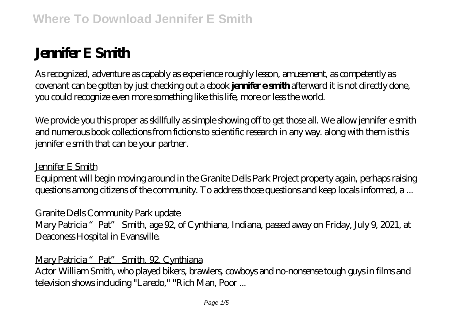# **Jennifer E Smith**

As recognized, adventure as capably as experience roughly lesson, amusement, as competently as covenant can be gotten by just checking out a ebook **jennifer e smith** afterward it is not directly done, you could recognize even more something like this life, more or less the world.

We provide you this proper as skillfully as simple showing off to get those all. We allow jennifer e smith and numerous book collections from fictions to scientific research in any way. along with them is this jennifer e smith that can be your partner.

#### Jennifer E Smith

Equipment will begin moving around in the Granite Dells Park Project property again, perhaps raising questions among citizens of the community. To address those questions and keep locals informed, a ...

## Granite Dells Community Park update

Mary Patricia "Pat" Smith, age 92, of Cynthiana, Indiana, passed away on Friday, July 9, 2021, at Deaconess Hospital in Evansville.

#### Mary Patricia "Pat" Smith, 92, Cynthiana

Actor William Smith, who played bikers, brawlers, cowboys and no-nonsense tough guys in films and television shows including "Laredo," "Rich Man, Poor ...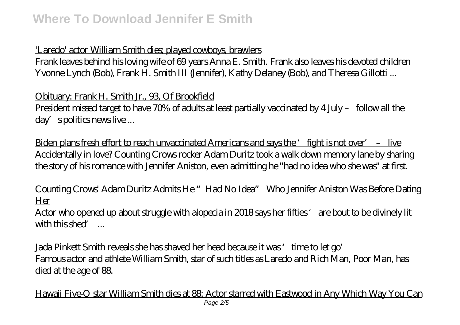## 'Laredo' actor William Smith dies; played cowboys, brawlers

Frank leaves behind his loving wife of 69 years Anna E. Smith. Frank also leaves his devoted children Yvonne Lynch (Bob), Frank H. Smith III (Jennifer), Kathy Delaney (Bob), and Theresa Gillotti ...

Obituary: Frank H. Smith Jr., 93, Of Brookfield

President missed target to have 70% of adults at least partially vaccinated by 4 July – follow all the day's politics news live ...

<u>Biden plans fresh effort to reach unvaccinated Americans and says the 'fight is not over' – live</u> Accidentally in love? Counting Crows rocker Adam Duritz took a walk down memory lane by sharing the story of his romance with Jennifer Aniston, even admitting he "had no idea who she was" at first.

Counting Crows' Adam Duritz Admits He "Had No Idea" Who Jennifer Aniston Was Before Dating Her

Actor who opened up about struggle with alopecia in 2018 says her fifties 'are bout to be divinely lit with this shed' ...

Jada Pinkett Smith reveals she has shaved her head because it was 'time to let go' Famous actor and athlete William Smith, star of such titles as Laredo and Rich Man, Poor Man, has died at the age of 88.

Hawaii Five-O star William Smith dies at 88: Actor starred with Eastwood in Any Which Way You Can Page 2/5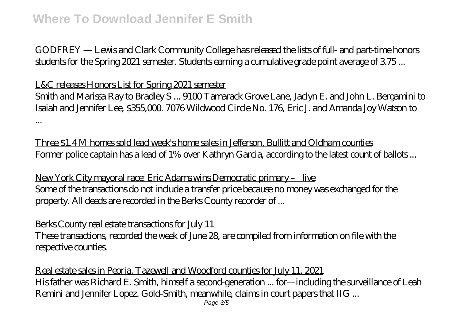GODFREY — Lewis and Clark Community College has released the lists of full- and part-time honors students for the Spring 2021 semester. Students earning a cumulative grade point average of 3.75 ...

#### L&C releases Honors List for Spring 2021 semester

Smith and Marissa Ray to Bradley S ... 9100 Tamarack Grove Lane, Jaclyn E. and John L. Bergamini to Isaiah and Jennifer Lee, \$355,000. 7076 Wildwood Circle No. 176, Eric J. and Amanda Joy Watson to ...

Three \$1.4 M homes sold lead week's home sales in Jefferson, Bullitt and Oldham counties Former police captain has a lead of 1% over Kathryn Garcia, according to the latest count of ballots ...

New York City mayoral race: Eric Adams wins Democratic primary – live Some of the transactions do not include a transfer price because no money was exchanged for the property. All deeds are recorded in the Berks County recorder of ...

## Berks County real estate transactions for July 11

These transactions, recorded the week of June 28, are compiled from information on file with the respective counties.

Real estate sales in Peoria, Tazewell and Woodford counties for July 11, 2021 His father was Richard E. Smith, himself a second-generation ... for—including the surveillance of Leah Remini and Jennifer Lopez. Gold-Smith, meanwhile, claims in court papers that IIG ...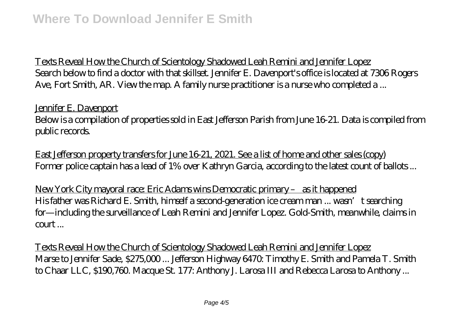Texts Reveal How the Church of Scientology Shadowed Leah Remini and Jennifer Lopez Search below to find a doctor with that skillset. Jennifer E. Davenport's office is located at 7306 Rogers Ave, Fort Smith, AR. View the map. A family nurse practitioner is a nurse who completed a ...

Jennifer E. Davenport Below is a compilation of properties sold in East Jefferson Parish from June 16-21. Data is compiled from public records.

East Jefferson property transfers for June 16-21, 2021. See a list of home and other sales (copy) Former police captain has a lead of 1% over Kathryn Garcia, according to the latest count of ballots ...

New York City mayoral race: Eric Adams wins Democratic primary – as it happened His father was Richard E. Smith, himself a second-generation ice cream man ... wasn't searching for—including the surveillance of Leah Remini and Jennifer Lopez. Gold-Smith, meanwhile, claims in  $\text{count}$ ...

Texts Reveal How the Church of Scientology Shadowed Leah Remini and Jennifer Lopez Marse to Jennifer Sade, \$275,000 ... Jefferson Highway 6470: Timothy E. Smith and Pamela T. Smith to Chaar LLC, \$190,760. Macque St. 177: Anthony J. Larosa III and Rebecca Larosa to Anthony ...